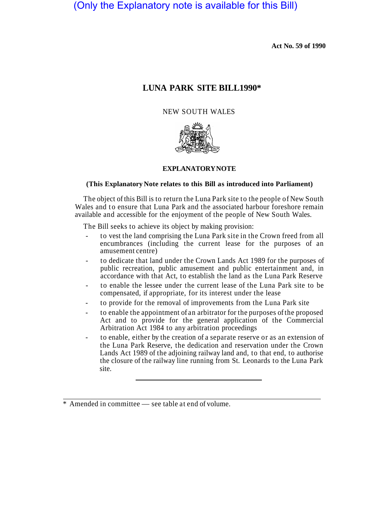# (Only the Explanatory note is available for this Bill)

**Act No. 59 of 1990** 

# **LUNA PARK SITE BILL1990\***

## NEW SOUTH WALES



### **EXPLANATORY NOTE**

#### **(This Explanatory Note relates to this Bill as introduced into Parliament)**

The object of this Bill is to return the Luna Park site to the people of New South Wales and to ensure that Luna Park and the associated harbour foreshore remain available and accessible for the enjoyment of the people of New South Wales.

The Bill seeks to achieve its object by making provision:

- to vest the land comprising the Luna Park site in the Crown freed from all encumbrances (including the current lease for the purposes of an amusement centre)
- to dedicate that land under the Crown Lands Act 1989 for the purposes of public recreation, public amusement and public entertainment and, in accordance with that Act, to establish the land as the Luna Park Reserve
- to enable the lessee under the current lease of the Luna Park site to be compensated, if appropriate, for its interest under the lease
- to provide for the removal of improvements from the Luna Park site
- to enable the appointment of an arbitrator for the purposes of the proposed Act and to provide for the general application of the Commercial Arbitration Act 1984 to any arbitration proceedings
- to enable, either by the creation of a separate reserve or as an extension of the Luna Park Reserve, the dedication and reservation under the Crown Lands Act 1989 of the adjoining railway land and, to that end, to authorise the closure of the railway line running from St. Leonards to the Luna Park site.

\* Amended in committee — see table at end of volume.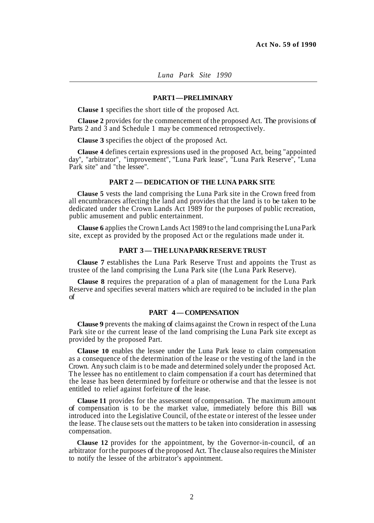#### **PART 1 — PRELIMINARY**

**Clause 1** specifies the short title of the proposed Act.

**Clause 2** provides for the commencement of the proposed Act. The provisions of Parts 2 and 3 and Schedule 1 may be commenced retrospectively.

**Clause 3** specifies the object of the proposed Act.

**Clause 4** defines certain expressions used in the proposed Act, being "appointed day", "arbitrator", "improvement", "Luna Park lease", "Luna Park Reserve", "Luna Park site" and "the lessee".

### **PART 2 — DEDICATION OF THE LUNA PARK SITE**

**Clause 5** vests the land comprising the Luna Park site in the Crown freed from all encumbrances affecting the land and provides that the land is to be taken to be dedicated under the Crown Lands Act 1989 for the purposes of public recreation, public amusement and public entertainment.

**Clause 6** applies the Crown Lands Act 1989 to the land comprising the Luna Park site, except as provided by the proposed Act or the regulations made under it.

### **PART 3 — THE LUNA PARK RESERVE TRUST**

**Clause 7** estabIishes the Luna Park Reserve Trust and appoints the Trust as trustee of the land comprising the Luna Park site (the Luna Park Reserve).

**Clause 8** requires the preparation of a plan of management for the Luna Park Reserve and specifies several matters which are required to be included in the plan of management.

#### **PART 4 — COMPENSATION**

**Clause 9** prevents the making of claims against the Crown in respect of the Luna Park site or the current lease of the land comprising the Luna Park site except as provided by the proposed Part.

**Clause 10** enables the lessee under the Luna Park lease to claim compensation as a consequence of the determination of the lease or the vesting of the land in the Crown. Any such claim is to be made and determined solely under the proposed Act. The lessee has no entitlement to claim compensation if a court has determined that the lease has been determined by forfeiture or otherwise and that the lessee is not entitled to relief against forfeiture of the lease.

**Clause 11** provides for the assessment of compensation. The maximum amount of compensation is to be the market value, immediately before this Bill was introduced into the Legislative Council, of the estate or interest of the lessee under the lease. The clause sets out the matters to be taken into consideration in assessing compensation.

**Clause 12** provides for the appointment, by the Governor-in-council, of an arbitrator for the purposes of the proposed Act. The clause also requires the Minister to notify the lessee of the arbitrator's appointment.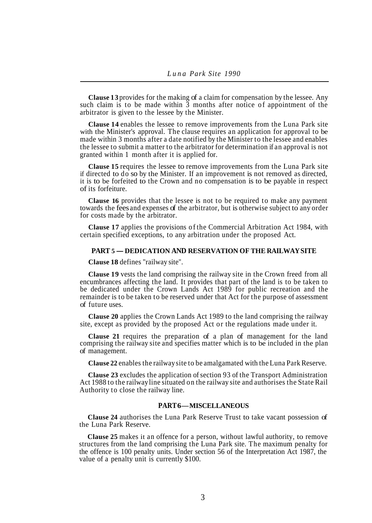**Clause 13** provides for the making of a claim for compensation by the lessee. Any such claim is to be made within  $\overline{3}$  months after notice of appointment of the arbitrator is given to the lessee by the Minister.

**Clause 14** enables the lessee to remove improvements from the Luna Park site with the Minister's approval. The clause requires an application for approval to be made within 3 months after a date notified by the Minister to the lessee and enables the lessee to submit a matter to the arbitrator for determination if an approval is not granted within 1 month after it is applied for.

**Clause 15** requires the lessee to remove improvements from the Luna Park site if directed to do so by the Minister. If an improvement is not removed as directed, it is to be forfeited to the Crown and no compensation is to be payable in respect of its forfeiture.

**Clause 16** provides that the lessee is not to be required to make any payment towards the fees and expenses of the arbitrator, but is otherwise subject to any order for costs made by the arbitrator.

**Clause 17** applies the provisions of the Commercial Arbitration Act 1984, with certain specified exceptions, to any arbitration under the proposed Act.

#### **PART 5 — DEDICATION AND RESERVATION OF THE RAILWAY SITE**

**Clause 18** defines "railway site".

**Clause 19** vests the land comprising the railway site in the Crown freed from all encumbrances affecting the land. It provides that part of the land is to be taken to be dedicated under the Crown Lands Act 1989 for public recreation and the remainder is to be taken to be reserved under that Act for the purpose of assessment of future uses.

**Clause 20** applies the Crown Lands Act 1989 to the land comprising the railway site, except as provided by the proposed Act or the regulations made under it.

**Clause 21** requires the preparation of a plan of management for the land comprising the railway site and specifies matter which is to be included in the plan of management.

**Clause 22** enables the railway site to be amalgamated with the Luna Park Reserve.

**Clause 23** excludes the application of section 93 of the Transport Administration Act 1988 to the railway line situated on the railway site and authorises the State Rail Authority to close the railway line.

#### **PART6 — MISCELLANEOUS**

**Clause 24** authorises the Luna Park Reserve Trust to take vacant possession of the Luna Park Reserve.

**Clause 25** makes it an offence for a person, without lawful authority, to remove structures from the land comprising the Luna Park site. The maximum penalty for the offence is 100 penalty units. Under section 56 of the Interpretation Act 1987, the value of a penalty unit is currently \$100.